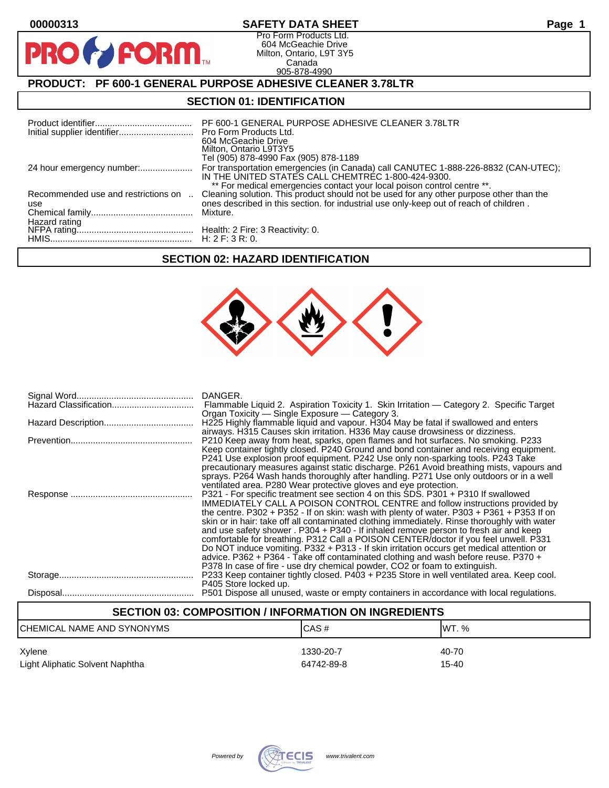$\bullet$ 

PR

### **00000313 SAFETY DATA SHEET Page 1**

Pro Form Products Ltd. 604 McGeachie Drive Milton, Ontario, L9T 3Y5 Canada 905-878-4990

## **PRODUCT: PF 600-1 GENERAL PURPOSE ADHESIVE CLEANER 3.78LTR**

**FORM.** 

## **SECTION 01: IDENTIFICATION**

|                                            | PF 600-1 GENERAL PURPOSE ADHESIVE CLEANER 3.78LTR<br>604 McGeachie Drive<br>Milton, Ontario L9T3Y5<br>Tel (905) 878-4990 Fax (905) 878-1189                                                                                                                              |
|--------------------------------------------|--------------------------------------------------------------------------------------------------------------------------------------------------------------------------------------------------------------------------------------------------------------------------|
|                                            | For transportation emergencies (in Canada) call CANUTEC 1-888-226-8832 (CAN-UTEC);<br>IN THE UNITED STATES CALL CHEMTREC 1-800-424-9300.                                                                                                                                 |
| Recommended use and restrictions on<br>use | ** For medical emergencies contact your local poison control centre **.<br>Cleaning solution. This product should not be used for any other purpose other than the<br>ones described in this section. for industrial use only-keep out of reach of children.<br>Mixture. |

### **SECTION 02: HAZARD IDENTIFICATION**



| DANGER.<br>Flammable Liquid 2. Aspiration Toxicity 1. Skin Irritation — Category 2. Specific Target<br>Organ Toxicity — Single Exposure — Category 3.                                                                                                                                                                                                                                                                                                                                                                                                                                                                                                                                                                                                                                                                 |
|-----------------------------------------------------------------------------------------------------------------------------------------------------------------------------------------------------------------------------------------------------------------------------------------------------------------------------------------------------------------------------------------------------------------------------------------------------------------------------------------------------------------------------------------------------------------------------------------------------------------------------------------------------------------------------------------------------------------------------------------------------------------------------------------------------------------------|
| H225 Highly flammable liquid and vapour. H304 May be fatal if swallowed and enters<br>airways. H315 Causes skin irritation. H336 May cause drowsiness or dizziness.                                                                                                                                                                                                                                                                                                                                                                                                                                                                                                                                                                                                                                                   |
| P210 Keep away from heat, sparks, open flames and hot surfaces. No smoking. P233<br>Keep container tightly closed. P240 Ground and bond container and receiving equipment.<br>P241 Use explosion proof equipment. P242 Use only non-sparking tools. P243 Take<br>precautionary measures against static discharge. P261 Avoid breathing mists, vapours and<br>sprays. P264 Wash hands thoroughly after handling. P271 Use only outdoors or in a well<br>ventilated area. P280 Wear protective gloves and eye protection.                                                                                                                                                                                                                                                                                               |
| P321 - For specific treatment see section 4 on this SDS. P301 + P310 If swallowed<br><b>IMMEDIATELY CALL A POISON CONTROL CENTRE and follow instructions provided by</b><br>the centre. P302 + P352 - If on skin: wash with plenty of water. P303 + P361 + P353 If on<br>skin or in hair: take off all contaminated clothing immediately. Rinse thoroughly with water<br>and use safety shower . P304 + P340 - If inhaled remove person to fresh air and keep<br>comfortable for breathing. P312 Call a POISON CENTER/doctor if you feel unwell. P331<br>Do NOT induce vomiting. P332 + P313 - If skin irritation occurs get medical attention or<br>advice. P362 + P364 - Take off contaminated clothing and wash before reuse. P370 +<br>P378 In case of fire - use dry chemical powder, CO2 or foam to extinguish. |
| P233 Keep container tightly closed. P403 + P235 Store in well ventilated area. Keep cool.<br>P405 Store locked up.                                                                                                                                                                                                                                                                                                                                                                                                                                                                                                                                                                                                                                                                                                    |
| P501 Dispose all unused, waste or empty containers in accordance with local regulations.                                                                                                                                                                                                                                                                                                                                                                                                                                                                                                                                                                                                                                                                                                                              |

# **SECTION 03: COMPOSITION / INFORMATION ON INGREDIENTS** CHEMICAL NAME AND SYNONYMS CHEMICAL NAME AND SYNONYMS Xylene 1330-20-7 40-70

Light Aliphatic Solvent Naphtha **64742-89-8** 15-40

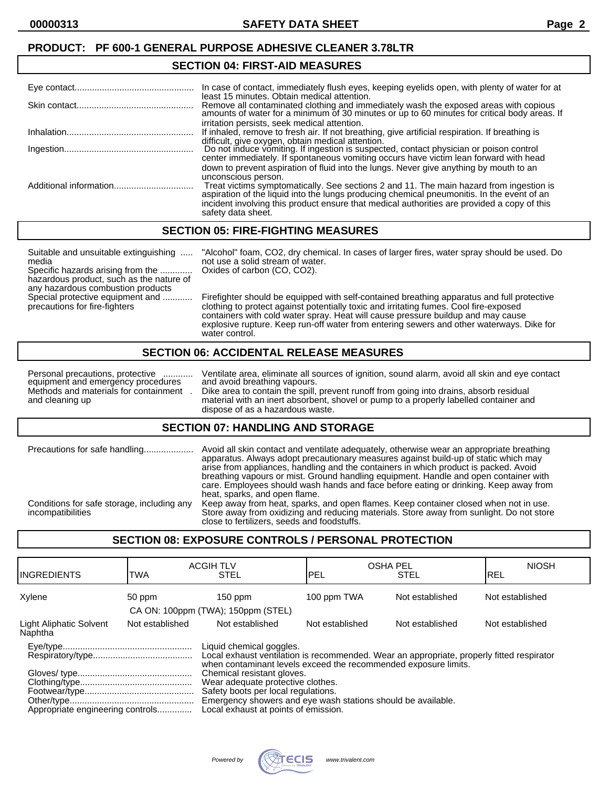### **PRODUCT: PF 600-1 GENERAL PURPOSE ADHESIVE CLEANER 3.78LTR**

#### **SECTION 04: FIRST-AID MEASURES**

| In case of contact, immediately flush eyes, keeping eyelids open, with plenty of water for at                                                                                      |
|------------------------------------------------------------------------------------------------------------------------------------------------------------------------------------|
| least 15 minutes. Obtain medical attention.                                                                                                                                        |
| Remove all contaminated clothing and immediately wash the exposed areas with copious amounts of water for a minimum of 30 minutes or up to 60 minutes for critical body areas. If  |
| irritation persists, seek medical attention.<br>If inhaled, remove to fresh air. If not breathing, give artificial respiration. If breathing is                                    |
| difficult, give oxygen, obtain medical attention.<br>Do not induce vomiting. If ingestion is suspected, contact physician or poison control                                        |
| center immediately. If spontaneous vomiting occurs have victim lean forward with head                                                                                              |
| down to prevent aspiration of fluid into the lungs. Never give anything by mouth to an<br>unconscious person.                                                                      |
| Treat victims symptomatically. See sections 2 and 11. The main hazard from ingestion is aspiration of the liquid into the lungs producing chemical pneumonitis. In the event of an |
| incident involving this product ensure that medical authorities are provided a copy of this<br>safety data sheet.                                                                  |

#### **SECTION 05: FIRE-FIGHTING MEASURES**

Suitable and unsuitable extinguishing ..... "Alcohol" foam, CO2, dry chemical. In cases of larger fires, water spray should be used. Do media not use a solid stream of water. Specific hazards arising from the ............. Oxides of carbon (CO, CO2). hazardous product, such as the nature of any hazardous combustion products<br>Special protective equipment and ............ Firefighter should be equipped with self-contained breathing apparatus and full protective precautions for fire-fighters clothing to protect against potentially toxic and irritating fumes. Cool fire-exposed containers with cold water spray. Heat will cause pressure buildup and may cause explosive rupture. Keep run-off water from entering sewers and other waterways. Dike for water control.

#### **SECTION 06: ACCIDENTAL RELEASE MEASURES**

equipment and emergency procedures<br>Methods and materials for containment.

Personal precautions, protective ............ Ventilate area, eliminate all sources of ignition, sound alarm, avoid all skin and eye contact equipment and emergency procedures and avoid breathing vapours. Methods and materials for containment . Dike area to contain the spill, prevent runoff from going into drains, absorb residual material with an inert absorbent, shovel or pump to a properly labelled container and dispose of as a hazardous waste.

#### **SECTION 07: HANDLING AND STORAGE**

| Precautions for safe handling                                   | Avoid all skin contact and ventilate adequately, otherwise wear an appropriate breathing<br>apparatus. Always adopt precautionary measures against build-up of static which may<br>arise from appliances, handling and the containers in which product is packed. Avoid<br>breathing vapours or mist. Ground handling equipment. Handle and open container with<br>care. Employees should wash hands and face before eating or drinking. Keep away from<br>heat, sparks, and open flame. |  |
|-----------------------------------------------------------------|------------------------------------------------------------------------------------------------------------------------------------------------------------------------------------------------------------------------------------------------------------------------------------------------------------------------------------------------------------------------------------------------------------------------------------------------------------------------------------------|--|
| Conditions for safe storage, including any<br>incompatibilities | Keep away from heat, sparks, and open flames. Keep container closed when not in use.<br>Store away from oxidizing and reducing materials. Store away from sunlight. Do not store<br>close to fertilizers, seeds and foodstuffs.                                                                                                                                                                                                                                                          |  |

## **SECTION 08: EXPOSURE CONTROLS / PERSONAL PROTECTION**

| IINGREDIENTS                       | TWA             | <b>ACGIH TLV</b><br><b>STEL</b>                                                                                                                                                                                | PEL             | <b>OSHA PEL</b><br><b>STEL</b> | <b>NIOSH</b><br>IREL |
|------------------------------------|-----------------|----------------------------------------------------------------------------------------------------------------------------------------------------------------------------------------------------------------|-----------------|--------------------------------|----------------------|
| Xylene                             | 50 ppm          | $150$ ppm<br>CA ON: 100ppm (TWA); 150ppm (STEL)                                                                                                                                                                | 100 ppm TWA     | Not established                | Not established      |
| Light Aliphatic Solvent<br>Naphtha | Not established | Not established                                                                                                                                                                                                | Not established | Not established                | Not established      |
|                                    |                 | Liquid chemical goggles.<br>Local exhaust ventilation is recommended. Wear an appropriate, properly fitted respirator<br>when contaminant levels exceed the recommended exposure limits.                       |                 |                                |                      |
| Appropriate engineering controls   |                 | Chemical resistant gloves.<br>Wear adequate protective clothes.<br>Safety boots per local regulations.<br>Emergency showers and eye wash stations should be available.<br>Local exhaust at points of emission. |                 |                                |                      |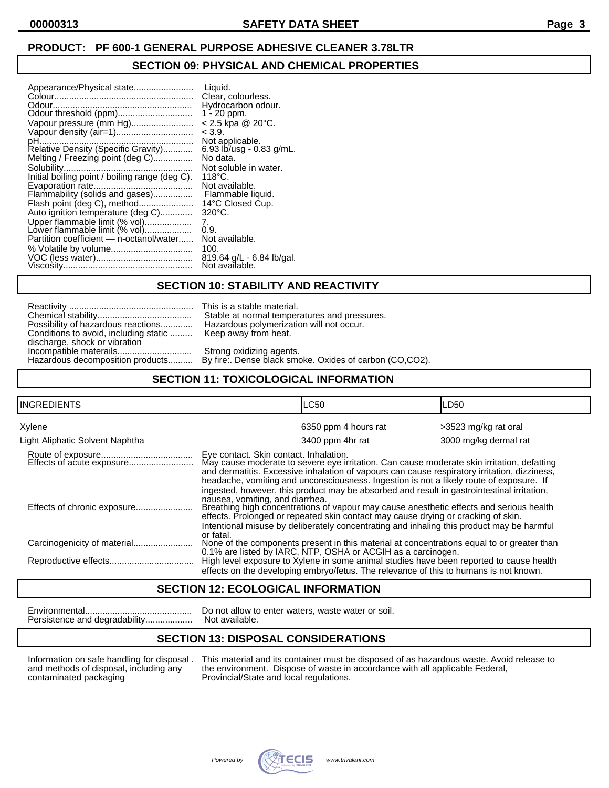## **PRODUCT: PF 600-1 GENERAL PURPOSE ADHESIVE CLEANER 3.78LTR**

### **SECTION 09: PHYSICAL AND CHEMICAL PROPERTIES**

| Appearance/Physical state<br>Odour<br>Odour threshold (ppm)<br>Vapour pressure (mm Hg)<br>pH<br>.<br>Relative Density (Specific Gravity)<br>Melting / Freezing point (deg C)<br>Initial boiling point / boiling range (deg C).<br>Flammability (solids and gases)<br>Flash point (deg C), method<br>Auto ignition temperature (deg C)<br>Upper flammable limit (% vol)<br>Lower flammable limit (% vol)<br>Partition coefficient - n-octanol/water | Liquid.<br>Clear, colourless.<br>Hydrocarbon odour.<br>$1 - 20$ ppm.<br>$< 2.5$ kpa @ 20 $^{\circ}$ C.<br>< 3.9.<br>Not applicable.<br>6.93 $\frac{1}{2}$ b/usq - 0.83 g/mL.<br>No data.<br>Not soluble in water.<br>$118^{\circ}$ C.<br>Not available.<br>Flammable liquid.<br>14°C Closed Cup.<br>$320^{\circ}$ C.<br>7.<br>0.9.<br>Not available.<br>100.<br>819.64 g/L - 6.84 lb/gal. |
|----------------------------------------------------------------------------------------------------------------------------------------------------------------------------------------------------------------------------------------------------------------------------------------------------------------------------------------------------------------------------------------------------------------------------------------------------|-------------------------------------------------------------------------------------------------------------------------------------------------------------------------------------------------------------------------------------------------------------------------------------------------------------------------------------------------------------------------------------------|
|                                                                                                                                                                                                                                                                                                                                                                                                                                                    | Not available.                                                                                                                                                                                                                                                                                                                                                                            |

### **SECTION 10: STABILITY AND REACTIVITY**

| Possibility of hazardous reactions    |
|---------------------------------------|
| Conditions to avoid, including static |
| discharge, shock or vibration         |
| Incompatible materails                |
| Hazardous decomposition products      |

This is a stable material. Stable at normal temperatures and pressures. Hazardous polymerization will not occur. Keep away from heat.

Strong oxidizing agents. By fire:. Dense black smoke. Oxides of carbon (CO,CO2).

## **SECTION 11: TOXICOLOGICAL INFORMATION**

| <b>INGREDIENTS</b>              | <b>LC50</b>                                                                                                                                                                                                                                                                                                                     | LD50                  |
|---------------------------------|---------------------------------------------------------------------------------------------------------------------------------------------------------------------------------------------------------------------------------------------------------------------------------------------------------------------------------|-----------------------|
| Xylene                          | 6350 ppm 4 hours rat                                                                                                                                                                                                                                                                                                            | >3523 mg/kg rat oral  |
| Light Aliphatic Solvent Naphtha | 3400 ppm 4hr rat                                                                                                                                                                                                                                                                                                                | 3000 mg/kg dermal rat |
|                                 | Eye contact. Skin contact. Inhalation.<br>May cause moderate to severe eye irritation. Can cause moderate skin irritation, defatting<br>and dermatitis. Excessive inhalation of vapours can cause respiratory irritation, dizziness,<br>headache, vomiting and unconsciousness. Ingestion is not a likely route of exposure. If |                       |
|                                 | ingested, however, this product may be absorbed and result in gastrointestinal irritation,<br>nausea, vomiting, and diarrhea.<br>Breathing high concentrations of vapour may cause anesthetic effects and serious health<br>effects. Prolonged or repeated skin contact may cause drying or cracking of skin.                   |                       |
|                                 | Intentional misuse by deliberately concentrating and inhaling this product may be harmful<br>or fatal.<br>None of the components present in this material at concentrations equal to or greater than<br>0.1% are listed by IARC, NTP, OSHA or ACGIH as a carcinogen.                                                            |                       |
|                                 | High level exposure to Xylene in some animal studies have been reported to cause health<br>effects on the developing embryo/fetus. The relevance of this to humans is not known.                                                                                                                                                |                       |

## **SECTION 12: ECOLOGICAL INFORMATION**

Persistence and degradability...................

Environmental........................................... Do not allow to enter waters, waste water or soil.

## **SECTION 13: DISPOSAL CONSIDERATIONS**

Information on safe handling for disposal . This material and its container must be disposed of as hazardous waste. Avoid release to and methods of disposal, including any the environment. Dispose of waste in accordance wi and methods of disposal, including any the environment. Dispose of waste in accordance with all applicable Federal, contaminated packaging Provincial/State and local regulations. Provincial/State and local regulations.